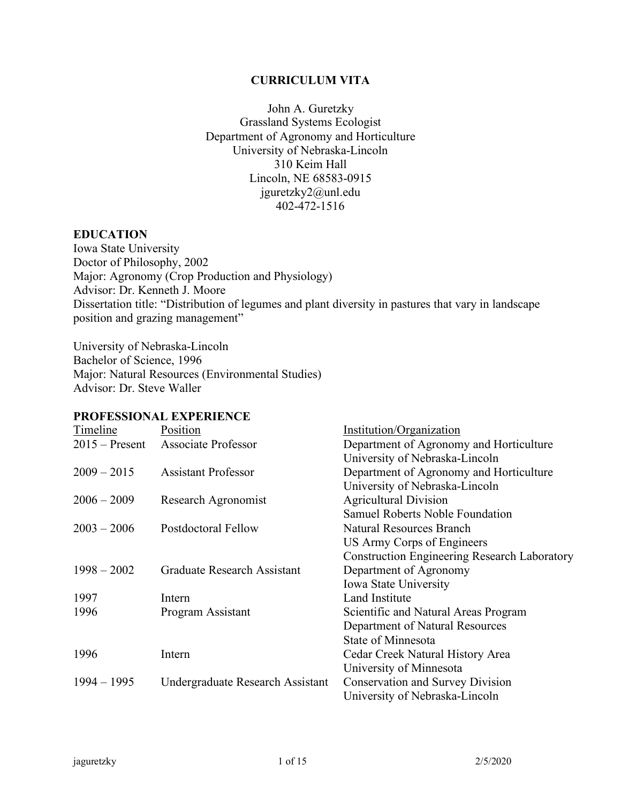#### **CURRICULUM VITA**

John A. Guretzky Grassland Systems Ecologist Department of Agronomy and Horticulture University of Nebraska-Lincoln 310 Keim Hall Lincoln, NE 68583-0915 jguretzky2@unl.edu 402-472-1516

#### **EDUCATION**

Iowa State University Doctor of Philosophy, 2002 Major: Agronomy (Crop Production and Physiology) Advisor: Dr. Kenneth J. Moore Dissertation title: "Distribution of legumes and plant diversity in pastures that vary in landscape position and grazing management"

University of Nebraska-Lincoln Bachelor of Science, 1996 Major: Natural Resources (Environmental Studies) Advisor: Dr. Steve Waller

### **PROFESSIONAL EXPERIENCE**

| Timeline         | Position                         | Institution/Organization                            |
|------------------|----------------------------------|-----------------------------------------------------|
| $2015$ – Present | Associate Professor              | Department of Agronomy and Horticulture             |
|                  |                                  | University of Nebraska-Lincoln                      |
| $2009 - 2015$    | <b>Assistant Professor</b>       | Department of Agronomy and Horticulture             |
|                  |                                  | University of Nebraska-Lincoln                      |
| $2006 - 2009$    | Research Agronomist              | <b>Agricultural Division</b>                        |
|                  |                                  | Samuel Roberts Noble Foundation                     |
| $2003 - 2006$    | Postdoctoral Fellow              | <b>Natural Resources Branch</b>                     |
|                  |                                  | US Army Corps of Engineers                          |
|                  |                                  | <b>Construction Engineering Research Laboratory</b> |
| $1998 - 2002$    | Graduate Research Assistant      | Department of Agronomy                              |
|                  |                                  | <b>Iowa State University</b>                        |
| 1997             | Intern                           | <b>Land Institute</b>                               |
| 1996             | Program Assistant                | Scientific and Natural Areas Program                |
|                  |                                  | Department of Natural Resources                     |
|                  |                                  | State of Minnesota                                  |
| 1996             | Intern                           | Cedar Creek Natural History Area                    |
|                  |                                  | University of Minnesota                             |
| $1994 - 1995$    | Undergraduate Research Assistant | <b>Conservation and Survey Division</b>             |
|                  |                                  | University of Nebraska-Lincoln                      |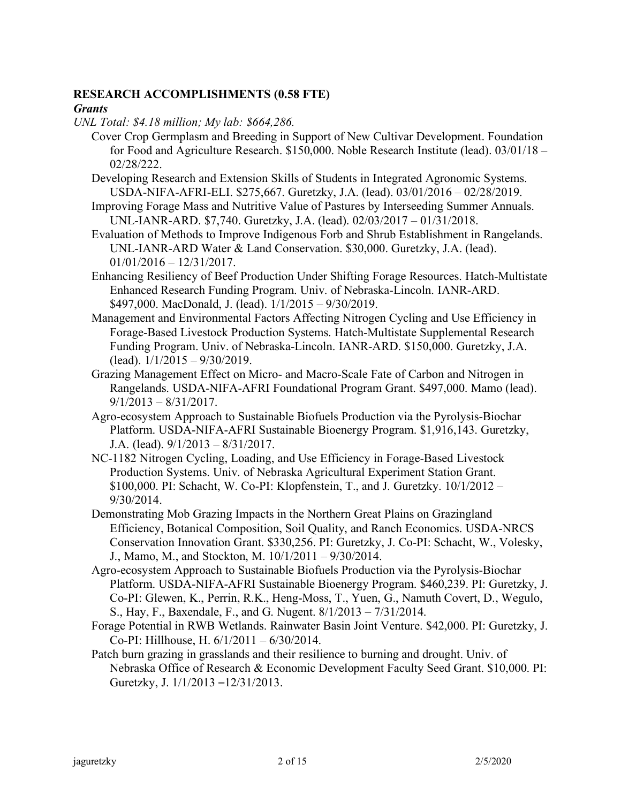## **RESEARCH ACCOMPLISHMENTS (0.58 FTE)**

#### *Grants*

- *UNL Total: \$4.18 million; My lab: \$664,286.*
	- Cover Crop Germplasm and Breeding in Support of New Cultivar Development. Foundation for Food and Agriculture Research. \$150,000. Noble Research Institute (lead). 03/01/18 – 02/28/222.
	- Developing Research and Extension Skills of Students in Integrated Agronomic Systems. USDA-NIFA-AFRI-ELI. \$275,667. Guretzky, J.A. (lead). 03/01/2016 – 02/28/2019.
	- Improving Forage Mass and Nutritive Value of Pastures by Interseeding Summer Annuals. UNL-IANR-ARD. \$7,740. Guretzky, J.A. (lead). 02/03/2017 – 01/31/2018.
	- Evaluation of Methods to Improve Indigenous Forb and Shrub Establishment in Rangelands. UNL-IANR-ARD Water & Land Conservation. \$30,000. Guretzky, J.A. (lead). 01/01/2016 – 12/31/2017.
	- Enhancing Resiliency of Beef Production Under Shifting Forage Resources. Hatch-Multistate Enhanced Research Funding Program. Univ. of Nebraska-Lincoln. IANR-ARD. \$497,000. MacDonald, J. (lead). 1/1/2015 – 9/30/2019.
	- Management and Environmental Factors Affecting Nitrogen Cycling and Use Efficiency in Forage-Based Livestock Production Systems. Hatch-Multistate Supplemental Research Funding Program. Univ. of Nebraska-Lincoln. IANR-ARD. \$150,000. Guretzky, J.A.  $(lead)$ .  $1/1/2015 - 9/30/2019$ .
	- Grazing Management Effect on Micro- and Macro-Scale Fate of Carbon and Nitrogen in Rangelands. USDA-NIFA-AFRI Foundational Program Grant. \$497,000. Mamo (lead).  $9/1/2013 - 8/31/2017$ .
	- Agro-ecosystem Approach to Sustainable Biofuels Production via the Pyrolysis-Biochar Platform. USDA-NIFA-AFRI Sustainable Bioenergy Program. \$1,916,143. Guretzky, J.A. (lead). 9/1/2013 – 8/31/2017.
	- NC-1182 Nitrogen Cycling, Loading, and Use Efficiency in Forage-Based Livestock Production Systems. Univ. of Nebraska Agricultural Experiment Station Grant. \$100,000. PI: Schacht, W. Co-PI: Klopfenstein, T., and J. Guretzky. 10/1/2012 – 9/30/2014.
	- Demonstrating Mob Grazing Impacts in the Northern Great Plains on Grazingland Efficiency, Botanical Composition, Soil Quality, and Ranch Economics. USDA-NRCS Conservation Innovation Grant. \$330,256. PI: Guretzky, J. Co-PI: Schacht, W., Volesky, J., Mamo, M., and Stockton, M. 10/1/2011 – 9/30/2014.
	- Agro-ecosystem Approach to Sustainable Biofuels Production via the Pyrolysis-Biochar Platform. USDA-NIFA-AFRI Sustainable Bioenergy Program. \$460,239. PI: Guretzky, J. Co-PI: Glewen, K., Perrin, R.K., Heng-Moss, T., Yuen, G., Namuth Covert, D., Wegulo, S., Hay, F., Baxendale, F., and G. Nugent. 8/1/2013 – 7/31/2014.
	- Forage Potential in RWB Wetlands. Rainwater Basin Joint Venture. \$42,000. PI: Guretzky, J. Co-PI: Hillhouse, H. 6/1/2011 – 6/30/2014.
	- Patch burn grazing in grasslands and their resilience to burning and drought. Univ. of Nebraska Office of Research & Economic Development Faculty Seed Grant. \$10,000. PI: Guretzky, J. 1/1/2013 –12/31/2013.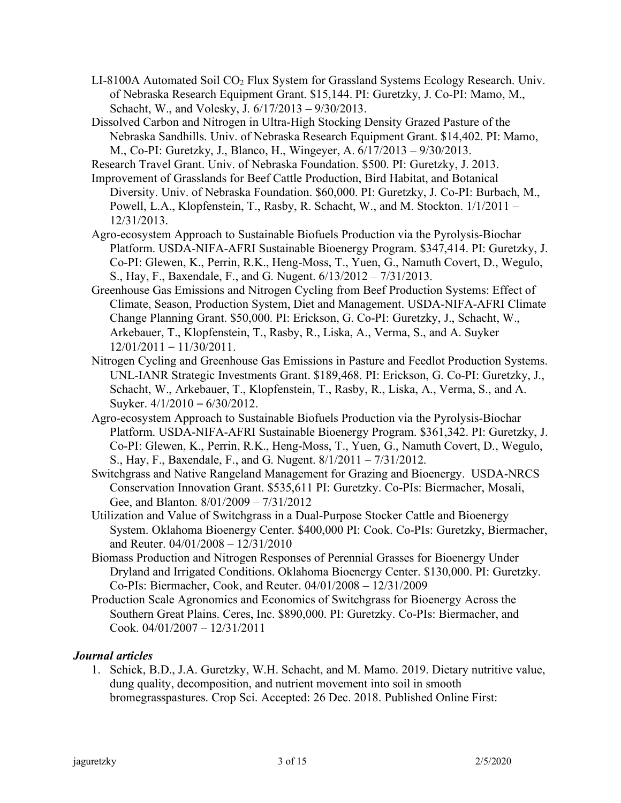- $LI-8100A$  Automated Soil  $CO<sub>2</sub>$  Flux System for Grassland Systems Ecology Research. Univ. of Nebraska Research Equipment Grant. \$15,144. PI: Guretzky, J. Co-PI: Mamo, M., Schacht, W., and Volesky, J. 6/17/2013 – 9/30/2013.
- Dissolved Carbon and Nitrogen in Ultra-High Stocking Density Grazed Pasture of the Nebraska Sandhills. Univ. of Nebraska Research Equipment Grant. \$14,402. PI: Mamo, M., Co-PI: Guretzky, J., Blanco, H., Wingeyer, A. 6/17/2013 – 9/30/2013.

Research Travel Grant. Univ. of Nebraska Foundation. \$500. PI: Guretzky, J. 2013.

- Improvement of Grasslands for Beef Cattle Production, Bird Habitat, and Botanical Diversity. Univ. of Nebraska Foundation. \$60,000. PI: Guretzky, J. Co-PI: Burbach, M., Powell, L.A., Klopfenstein, T., Rasby, R. Schacht, W., and M. Stockton. 1/1/2011 – 12/31/2013.
- Agro-ecosystem Approach to Sustainable Biofuels Production via the Pyrolysis-Biochar Platform. USDA-NIFA-AFRI Sustainable Bioenergy Program. \$347,414. PI: Guretzky, J. Co-PI: Glewen, K., Perrin, R.K., Heng-Moss, T., Yuen, G., Namuth Covert, D., Wegulo, S., Hay, F., Baxendale, F., and G. Nugent. 6/13/2012 – 7/31/2013.
- Greenhouse Gas Emissions and Nitrogen Cycling from Beef Production Systems: Effect of Climate, Season, Production System, Diet and Management. USDA-NIFA-AFRI Climate Change Planning Grant. \$50,000. PI: Erickson, G. Co-PI: Guretzky, J., Schacht, W., Arkebauer, T., Klopfenstein, T., Rasby, R., Liska, A., Verma, S., and A. Suyker 12/01/2011 – 11/30/2011.
- Nitrogen Cycling and Greenhouse Gas Emissions in Pasture and Feedlot Production Systems. UNL-IANR Strategic Investments Grant. \$189,468. PI: Erickson, G. Co-PI: Guretzky, J., Schacht, W., Arkebauer, T., Klopfenstein, T., Rasby, R., Liska, A., Verma, S., and A. Suyker. 4/1/2010 – 6/30/2012.
- Agro-ecosystem Approach to Sustainable Biofuels Production via the Pyrolysis-Biochar Platform. USDA-NIFA-AFRI Sustainable Bioenergy Program. \$361,342. PI: Guretzky, J. Co-PI: Glewen, K., Perrin, R.K., Heng-Moss, T., Yuen, G., Namuth Covert, D., Wegulo, S., Hay, F., Baxendale, F., and G. Nugent. 8/1/2011 – 7/31/2012.
- Switchgrass and Native Rangeland Management for Grazing and Bioenergy. USDA-NRCS Conservation Innovation Grant. \$535,611 PI: Guretzky. Co-PIs: Biermacher, Mosali, Gee, and Blanton. 8/01/2009 – 7/31/2012
- Utilization and Value of Switchgrass in a Dual-Purpose Stocker Cattle and Bioenergy System. Oklahoma Bioenergy Center. \$400,000 PI: Cook. Co-PIs: Guretzky, Biermacher, and Reuter. 04/01/2008 – 12/31/2010
- Biomass Production and Nitrogen Responses of Perennial Grasses for Bioenergy Under Dryland and Irrigated Conditions. Oklahoma Bioenergy Center. \$130,000. PI: Guretzky. Co-PIs: Biermacher, Cook, and Reuter. 04/01/2008 – 12/31/2009
- Production Scale Agronomics and Economics of Switchgrass for Bioenergy Across the Southern Great Plains. Ceres, Inc. \$890,000. PI: Guretzky. Co-PIs: Biermacher, and Cook. 04/01/2007 – 12/31/2011

## *Journal articles*

1. Schick, B.D., J.A. Guretzky, W.H. Schacht, and M. Mamo. 2019. Dietary nutritive value, dung quality, decomposition, and nutrient movement into soil in smooth bromegrasspastures. Crop Sci. Accepted: 26 Dec. 2018. Published Online First: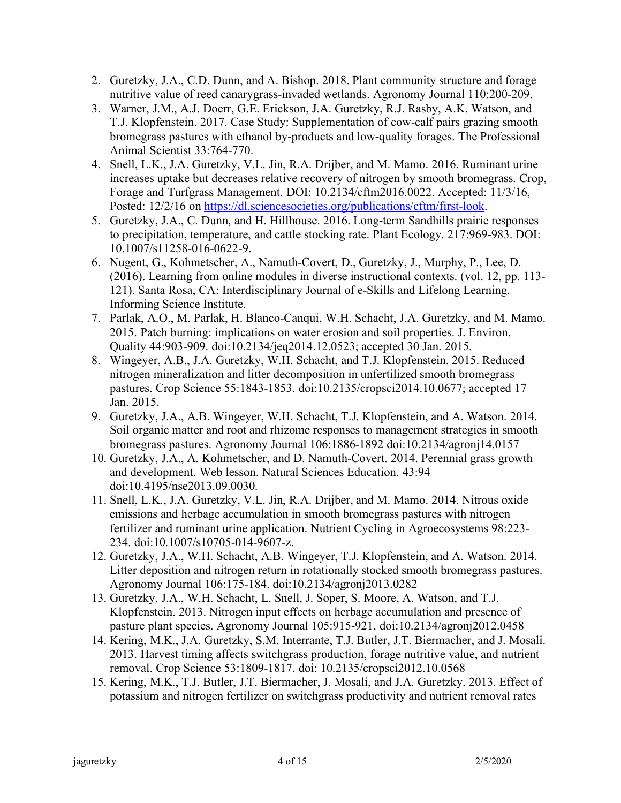- 2. Guretzky, J.A., C.D. Dunn, and A. Bishop. 2018. Plant community structure and forage nutritive value of reed canarygrass-invaded wetlands. Agronomy Journal 110:200-209.
- 3. Warner, J.M., A.J. Doerr, G.E. Erickson, J.A. Guretzky, R.J. Rasby, A.K. Watson, and T.J. Klopfenstein. 2017. Case Study: Supplementation of cow-calf pairs grazing smooth bromegrass pastures with ethanol by-products and low-quality forages. The Professional Animal Scientist 33:764-770.
- 4. Snell, L.K., J.A. Guretzky, V.L. Jin, R.A. Drijber, and M. Mamo. 2016. Ruminant urine increases uptake but decreases relative recovery of nitrogen by smooth bromegrass. Crop, Forage and Turfgrass Management. DOI: 10.2134/cftm2016.0022. Accepted: 11/3/16, Posted: 12/2/16 on https://dl.sciencesocieties.org/publications/cftm/first-look.
- 5. Guretzky, J.A., C. Dunn, and H. Hillhouse. 2016. Long-term Sandhills prairie responses to precipitation, temperature, and cattle stocking rate. Plant Ecology. 217:969-983. DOI: 10.1007/s11258-016-0622-9.
- 6. Nugent, G., Kohmetscher, A., Namuth-Covert, D., Guretzky, J., Murphy, P., Lee, D. (2016). Learning from online modules in diverse instructional contexts. (vol. 12, pp. 113- 121). Santa Rosa, CA: Interdisciplinary Journal of e-Skills and Lifelong Learning. Informing Science Institute.
- 7. Parlak, A.O., M. Parlak, H. Blanco-Canqui, W.H. Schacht, J.A. Guretzky, and M. Mamo. 2015. Patch burning: implications on water erosion and soil properties. J. Environ. Quality 44:903-909. doi:10.2134/jeq2014.12.0523; accepted 30 Jan. 2015.
- 8. Wingeyer, A.B., J.A. Guretzky, W.H. Schacht, and T.J. Klopfenstein. 2015. Reduced nitrogen mineralization and litter decomposition in unfertilized smooth bromegrass pastures. Crop Science 55:1843-1853. doi:10.2135/cropsci2014.10.0677; accepted 17 Jan. 2015.
- 9. Guretzky, J.A., A.B. Wingeyer, W.H. Schacht, T.J. Klopfenstein, and A. Watson. 2014. Soil organic matter and root and rhizome responses to management strategies in smooth bromegrass pastures. Agronomy Journal 106:1886-1892 doi:10.2134/agronj14.0157
- 10. Guretzky, J.A., A. Kohmetscher, and D. Namuth-Covert. 2014. Perennial grass growth and development. Web lesson. Natural Sciences Education. 43:94 doi:10.4195/nse2013.09.0030.
- 11. Snell, L.K., J.A. Guretzky, V.L. Jin, R.A. Drijber, and M. Mamo. 2014. Nitrous oxide emissions and herbage accumulation in smooth bromegrass pastures with nitrogen fertilizer and ruminant urine application. Nutrient Cycling in Agroecosystems 98:223- 234. doi:10.1007/s10705-014-9607-z.
- 12. Guretzky, J.A., W.H. Schacht, A.B. Wingeyer, T.J. Klopfenstein, and A. Watson. 2014. Litter deposition and nitrogen return in rotationally stocked smooth bromegrass pastures. Agronomy Journal 106:175-184. doi:10.2134/agronj2013.0282
- 13. Guretzky, J.A., W.H. Schacht, L. Snell, J. Soper, S. Moore, A. Watson, and T.J. Klopfenstein. 2013. Nitrogen input effects on herbage accumulation and presence of pasture plant species. Agronomy Journal 105:915-921. doi:10.2134/agronj2012.0458
- 14. Kering, M.K., J.A. Guretzky, S.M. Interrante, T.J. Butler, J.T. Biermacher, and J. Mosali. 2013. Harvest timing affects switchgrass production, forage nutritive value, and nutrient removal. Crop Science 53:1809-1817. doi: 10.2135/cropsci2012.10.0568
- 15. Kering, M.K., T.J. Butler, J.T. Biermacher, J. Mosali, and J.A. Guretzky. 2013. Effect of potassium and nitrogen fertilizer on switchgrass productivity and nutrient removal rates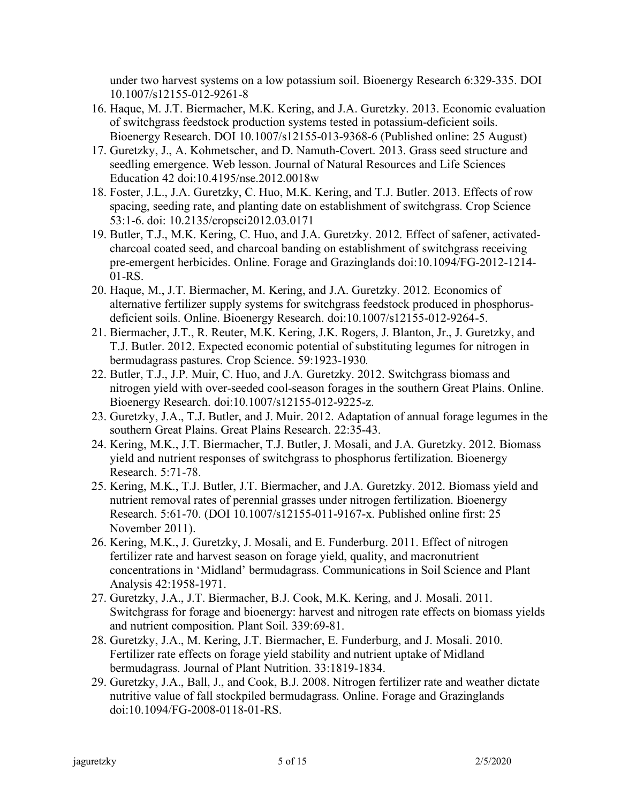under two harvest systems on a low potassium soil. Bioenergy Research 6:329-335. DOI 10.1007/s12155-012-9261-8

- 16. Haque, M. J.T. Biermacher, M.K. Kering, and J.A. Guretzky. 2013. Economic evaluation of switchgrass feedstock production systems tested in potassium-deficient soils. Bioenergy Research. DOI 10.1007/s12155-013-9368-6 (Published online: 25 August)
- 17. Guretzky, J., A. Kohmetscher, and D. Namuth-Covert. 2013. Grass seed structure and seedling emergence. Web lesson. Journal of Natural Resources and Life Sciences Education 42 doi:10.4195/nse.2012.0018w
- 18. Foster, J.L., J.A. Guretzky, C. Huo, M.K. Kering, and T.J. Butler. 2013. Effects of row spacing, seeding rate, and planting date on establishment of switchgrass. Crop Science 53:1-6. doi: 10.2135/cropsci2012.03.0171
- 19. Butler, T.J., M.K. Kering, C. Huo, and J.A. Guretzky. 2012. Effect of safener, activatedcharcoal coated seed, and charcoal banding on establishment of switchgrass receiving pre-emergent herbicides. Online. Forage and Grazinglands doi:10.1094/FG-2012-1214- 01-RS.
- 20. Haque, M., J.T. Biermacher, M. Kering, and J.A. Guretzky. 2012. Economics of alternative fertilizer supply systems for switchgrass feedstock produced in phosphorusdeficient soils. Online. Bioenergy Research. doi:10.1007/s12155-012-9264-5.
- 21. Biermacher, J.T., R. Reuter, M.K. Kering, J.K. Rogers, J. Blanton, Jr., J. Guretzky, and T.J. Butler. 2012. Expected economic potential of substituting legumes for nitrogen in bermudagrass pastures. Crop Science. 59:1923-1930*.*
- 22. Butler, T.J., J.P. Muir, C. Huo, and J.A. Guretzky. 2012. Switchgrass biomass and nitrogen yield with over-seeded cool-season forages in the southern Great Plains. Online. Bioenergy Research. doi:10.1007/s12155-012-9225-z.
- 23. Guretzky, J.A., T.J. Butler, and J. Muir. 2012. Adaptation of annual forage legumes in the southern Great Plains. Great Plains Research. 22:35-43.
- 24. Kering, M.K., J.T. Biermacher, T.J. Butler, J. Mosali, and J.A. Guretzky. 2012. Biomass yield and nutrient responses of switchgrass to phosphorus fertilization. Bioenergy Research. 5:71-78.
- 25. Kering, M.K., T.J. Butler, J.T. Biermacher, and J.A. Guretzky. 2012. Biomass yield and nutrient removal rates of perennial grasses under nitrogen fertilization. Bioenergy Research. 5:61-70. (DOI 10.1007/s12155-011-9167-x. Published online first: 25 November 2011).
- 26. Kering, M.K., J. Guretzky, J. Mosali, and E. Funderburg. 2011. Effect of nitrogen fertilizer rate and harvest season on forage yield, quality, and macronutrient concentrations in 'Midland' bermudagrass. Communications in Soil Science and Plant Analysis 42:1958-1971.
- 27. Guretzky, J.A., J.T. Biermacher, B.J. Cook, M.K. Kering, and J. Mosali. 2011. Switchgrass for forage and bioenergy: harvest and nitrogen rate effects on biomass yields and nutrient composition. Plant Soil. 339:69-81.
- 28. Guretzky, J.A., M. Kering, J.T. Biermacher, E. Funderburg, and J. Mosali. 2010. Fertilizer rate effects on forage yield stability and nutrient uptake of Midland bermudagrass. Journal of Plant Nutrition. 33:1819-1834.
- 29. Guretzky, J.A., Ball, J., and Cook, B.J. 2008. Nitrogen fertilizer rate and weather dictate nutritive value of fall stockpiled bermudagrass. Online. Forage and Grazinglands doi:10.1094/FG-2008-0118-01-RS.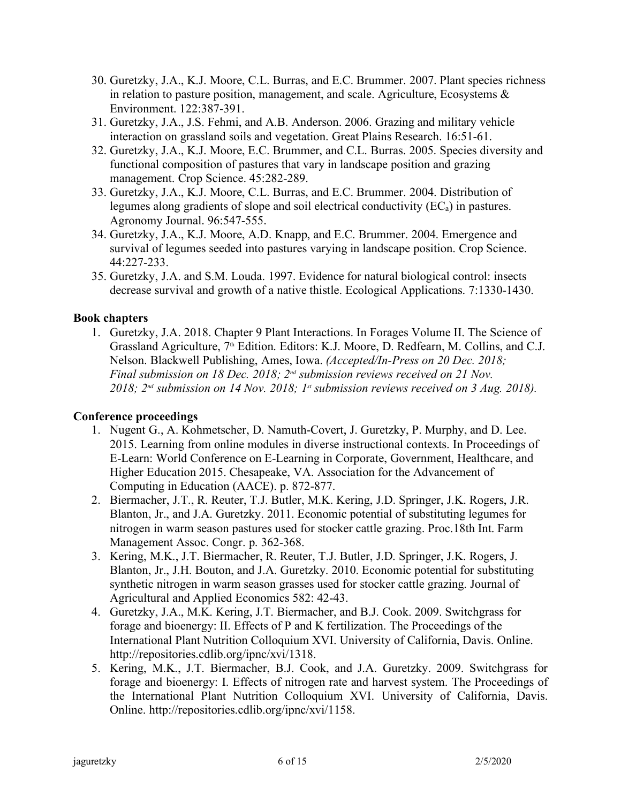- 30. Guretzky, J.A., K.J. Moore, C.L. Burras, and E.C. Brummer. 2007. Plant species richness in relation to pasture position, management, and scale. Agriculture, Ecosystems & Environment. 122:387-391.
- 31. Guretzky, J.A., J.S. Fehmi, and A.B. Anderson. 2006. Grazing and military vehicle interaction on grassland soils and vegetation. Great Plains Research. 16:51-61.
- 32. Guretzky, J.A., K.J. Moore, E.C. Brummer, and C.L. Burras. 2005. Species diversity and functional composition of pastures that vary in landscape position and grazing management. Crop Science. 45:282-289.
- 33. Guretzky, J.A., K.J. Moore, C.L. Burras, and E.C. Brummer. 2004. Distribution of legumes along gradients of slope and soil electrical conductivity (ECa) in pastures. Agronomy Journal. 96:547-555.
- 34. Guretzky, J.A., K.J. Moore, A.D. Knapp, and E.C. Brummer. 2004. Emergence and survival of legumes seeded into pastures varying in landscape position. Crop Science. 44:227-233.
- 35. Guretzky, J.A. and S.M. Louda. 1997. Evidence for natural biological control: insects decrease survival and growth of a native thistle. Ecological Applications. 7:1330-1430.

## **Book chapters**

1. Guretzky, J.A. 2018. Chapter 9 Plant Interactions. In Forages Volume II. The Science of Grassland Agriculture, 7<sup>th</sup> Edition. Editors: K.J. Moore, D. Redfearn, M. Collins, and C.J. Nelson. Blackwell Publishing, Ames, Iowa. *(Accepted/In-Press on 20 Dec. 2018; Final submission on 18 Dec. 2018; 2nd submission reviews received on 21 Nov. 2018; 2nd submission on 14 Nov. 2018; 1st submission reviews received on 3 Aug. 2018).*

## **Conference proceedings**

- 1. Nugent G., A. Kohmetscher, D. Namuth-Covert, J. Guretzky, P. Murphy, and D. Lee. 2015. Learning from online modules in diverse instructional contexts. In Proceedings of E-Learn: World Conference on E-Learning in Corporate, Government, Healthcare, and Higher Education 2015. Chesapeake, VA. Association for the Advancement of Computing in Education (AACE). p. 872-877.
- 2. Biermacher, J.T., R. Reuter, T.J. Butler, M.K. Kering, J.D. Springer, J.K. Rogers, J.R. Blanton, Jr., and J.A. Guretzky. 2011. Economic potential of substituting legumes for nitrogen in warm season pastures used for stocker cattle grazing. Proc.18th Int. Farm Management Assoc. Congr. p. 362-368.
- 3. Kering, M.K., J.T. Biermacher, R. Reuter, T.J. Butler, J.D. Springer, J.K. Rogers, J. Blanton, Jr., J.H. Bouton, and J.A. Guretzky. 2010. Economic potential for substituting synthetic nitrogen in warm season grasses used for stocker cattle grazing. Journal of Agricultural and Applied Economics 582: 42-43.
- 4. Guretzky, J.A., M.K. Kering, J.T. Biermacher, and B.J. Cook. 2009. Switchgrass for forage and bioenergy: II. Effects of P and K fertilization. The Proceedings of the International Plant Nutrition Colloquium XVI. University of California, Davis. Online. http://repositories.cdlib.org/ipnc/xvi/1318.
- 5. Kering, M.K., J.T. Biermacher, B.J. Cook, and J.A. Guretzky. 2009. Switchgrass for forage and bioenergy: I. Effects of nitrogen rate and harvest system. The Proceedings of the International Plant Nutrition Colloquium XVI. University of California, Davis. Online. http://repositories.cdlib.org/ipnc/xvi/1158.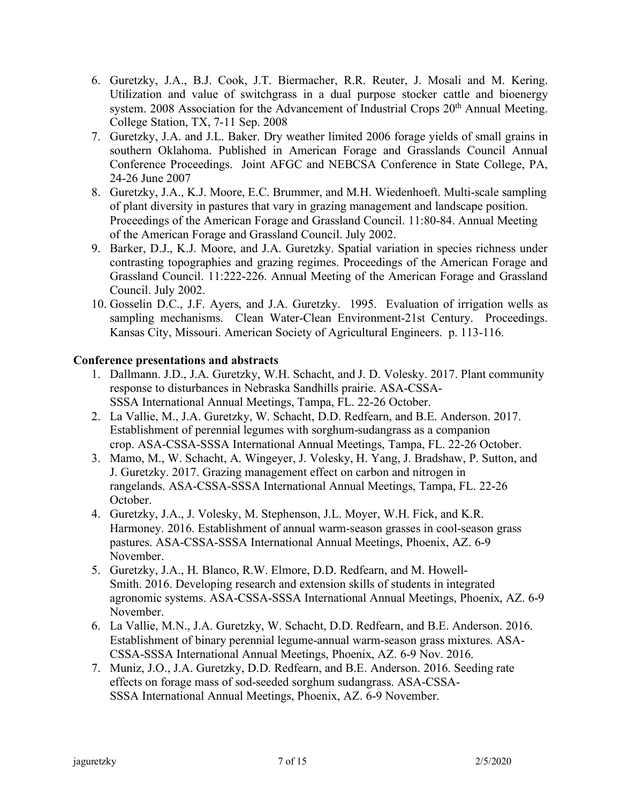- 6. Guretzky, J.A., B.J. Cook, J.T. Biermacher, R.R. Reuter, J. Mosali and M. Kering. Utilization and value of switchgrass in a dual purpose stocker cattle and bioenergy system. 2008 Association for the Advancement of Industrial Crops 20<sup>th</sup> Annual Meeting. College Station, TX, 7-11 Sep. 2008
- 7. Guretzky, J.A. and J.L. Baker. Dry weather limited 2006 forage yields of small grains in southern Oklahoma. Published in American Forage and Grasslands Council Annual Conference Proceedings. Joint AFGC and NEBCSA Conference in State College, PA, 24-26 June 2007
- 8. Guretzky, J.A., K.J. Moore, E.C. Brummer, and M.H. Wiedenhoeft. Multi-scale sampling of plant diversity in pastures that vary in grazing management and landscape position. Proceedings of the American Forage and Grassland Council. 11:80-84. Annual Meeting of the American Forage and Grassland Council. July 2002.
- 9. Barker, D.J., K.J. Moore, and J.A. Guretzky. Spatial variation in species richness under contrasting topographies and grazing regimes. Proceedings of the American Forage and Grassland Council. 11:222-226. Annual Meeting of the American Forage and Grassland Council. July 2002.
- 10. Gosselin D.C., J.F. Ayers, and J.A. Guretzky. 1995. Evaluation of irrigation wells as sampling mechanisms. Clean Water-Clean Environment-21st Century. Proceedings. Kansas City, Missouri. American Society of Agricultural Engineers. p. 113-116.

## **Conference presentations and abstracts**

- 1. Dallmann. J.D., J.A. Guretzky, W.H. Schacht, and J. D. Volesky. 2017. Plant community response to disturbances in Nebraska Sandhills prairie. ASA-CSSA-SSSA International Annual Meetings, Tampa, FL. 22-26 October.
- 2. La Vallie, M., J.A. Guretzky, W. Schacht, D.D. Redfearn, and B.E. Anderson. 2017. Establishment of perennial legumes with sorghum-sudangrass as a companion crop. ASA-CSSA-SSSA International Annual Meetings, Tampa, FL. 22-26 October.
- 3. Mamo, M., W. Schacht, A. Wingeyer, J. Volesky, H. Yang, J. Bradshaw, P. Sutton, and J. Guretzky. 2017. Grazing management effect on carbon and nitrogen in rangelands. ASA-CSSA-SSSA International Annual Meetings, Tampa, FL. 22-26 October.
- 4. Guretzky, J.A., J. Volesky, M. Stephenson, J.L. Moyer, W.H. Fick, and K.R. Harmoney. 2016. Establishment of annual warm-season grasses in cool-season grass pastures. ASA-CSSA-SSSA International Annual Meetings, Phoenix, AZ. 6-9 November.
- 5. Guretzky, J.A., H. Blanco, R.W. Elmore, D.D. Redfearn, and M. Howell-Smith. 2016. Developing research and extension skills of students in integrated agronomic systems. ASA-CSSA-SSSA International Annual Meetings, Phoenix, AZ. 6-9 November.
- 6. La Vallie, M.N., J.A. Guretzky, W. Schacht, D.D. Redfearn, and B.E. Anderson. 2016. Establishment of binary perennial legume-annual warm-season grass mixtures. ASA-CSSA-SSSA International Annual Meetings, Phoenix, AZ. 6-9 Nov. 2016.
- 7. Muniz, J.O., J.A. Guretzky, D.D. Redfearn, and B.E. Anderson. 2016. Seeding rate effects on forage mass of sod-seeded sorghum sudangrass. ASA-CSSA-SSSA International Annual Meetings, Phoenix, AZ. 6-9 November.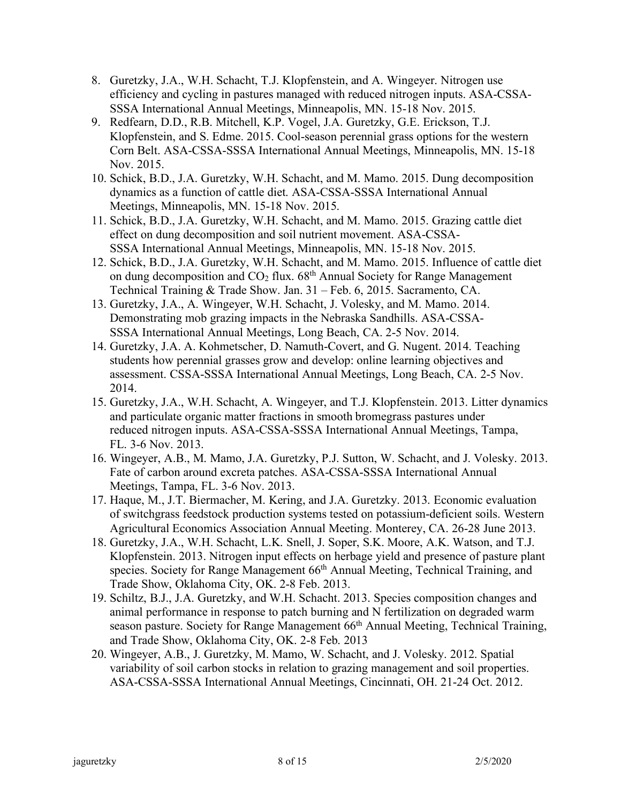- 8. Guretzky, J.A., W.H. Schacht, T.J. Klopfenstein, and A. Wingeyer. Nitrogen use efficiency and cycling in pastures managed with reduced nitrogen inputs. ASA-CSSA-SSSA International Annual Meetings, Minneapolis, MN. 15-18 Nov. 2015.
- 9. Redfearn, D.D., R.B. Mitchell, K.P. Vogel, J.A. Guretzky, G.E. Erickson, T.J. Klopfenstein, and S. Edme. 2015. Cool-season perennial grass options for the western Corn Belt. ASA-CSSA-SSSA International Annual Meetings, Minneapolis, MN. 15-18 Nov. 2015.
- 10. Schick, B.D., J.A. Guretzky, W.H. Schacht, and M. Mamo. 2015. Dung decomposition dynamics as a function of cattle diet. ASA-CSSA-SSSA International Annual Meetings, Minneapolis, MN. 15-18 Nov. 2015.
- 11. Schick, B.D., J.A. Guretzky, W.H. Schacht, and M. Mamo. 2015. Grazing cattle diet effect on dung decomposition and soil nutrient movement. ASA-CSSA-SSSA International Annual Meetings, Minneapolis, MN. 15-18 Nov. 2015.
- 12. Schick, B.D., J.A. Guretzky, W.H. Schacht, and M. Mamo. 2015. Influence of cattle diet on dung decomposition and  $CO<sub>2</sub>$  flux. 68<sup>th</sup> Annual Society for Range Management Technical Training & Trade Show. Jan. 31 – Feb. 6, 2015. Sacramento, CA.
- 13. Guretzky, J.A., A. Wingeyer, W.H. Schacht, J. Volesky, and M. Mamo. 2014. Demonstrating mob grazing impacts in the Nebraska Sandhills. ASA-CSSA-SSSA International Annual Meetings, Long Beach, CA. 2-5 Nov. 2014.
- 14. Guretzky, J.A. A. Kohmetscher, D. Namuth-Covert, and G. Nugent. 2014. Teaching students how perennial grasses grow and develop: online learning objectives and assessment. CSSA-SSSA International Annual Meetings, Long Beach, CA. 2-5 Nov. 2014.
- 15. Guretzky, J.A., W.H. Schacht, A. Wingeyer, and T.J. Klopfenstein. 2013. Litter dynamics and particulate organic matter fractions in smooth bromegrass pastures under reduced nitrogen inputs. ASA-CSSA-SSSA International Annual Meetings, Tampa, FL. 3-6 Nov. 2013.
- 16. Wingeyer, A.B., M. Mamo, J.A. Guretzky, P.J. Sutton, W. Schacht, and J. Volesky. 2013. Fate of carbon around excreta patches. ASA-CSSA-SSSA International Annual Meetings, Tampa, FL. 3-6 Nov. 2013.
- 17. Haque, M., J.T. Biermacher, M. Kering, and J.A. Guretzky. 2013. Economic evaluation of switchgrass feedstock production systems tested on potassium-deficient soils. Western Agricultural Economics Association Annual Meeting. Monterey, CA. 26-28 June 2013.
- 18. Guretzky, J.A., W.H. Schacht, L.K. Snell, J. Soper, S.K. Moore, A.K. Watson, and T.J. Klopfenstein. 2013. Nitrogen input effects on herbage yield and presence of pasture plant species. Society for Range Management 66<sup>th</sup> Annual Meeting, Technical Training, and Trade Show, Oklahoma City, OK. 2-8 Feb. 2013.
- 19. Schiltz, B.J., J.A. Guretzky, and W.H. Schacht. 2013. Species composition changes and animal performance in response to patch burning and N fertilization on degraded warm season pasture. Society for Range Management 66<sup>th</sup> Annual Meeting, Technical Training, and Trade Show, Oklahoma City, OK. 2-8 Feb. 2013
- 20. Wingeyer, A.B., J. Guretzky, M. Mamo, W. Schacht, and J. Volesky. 2012. Spatial variability of soil carbon stocks in relation to grazing management and soil properties. ASA-CSSA-SSSA International Annual Meetings, Cincinnati, OH. 21-24 Oct. 2012.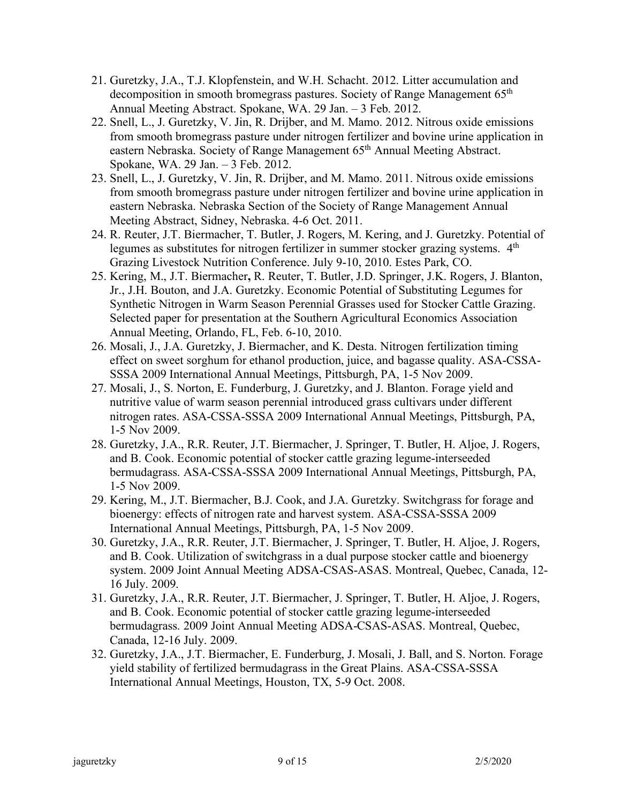- 21. Guretzky, J.A., T.J. Klopfenstein, and W.H. Schacht. 2012. Litter accumulation and decomposition in smooth bromegrass pastures. Society of Range Management 65th Annual Meeting Abstract. Spokane, WA. 29 Jan. – 3 Feb. 2012.
- 22. Snell, L., J. Guretzky, V. Jin, R. Drijber, and M. Mamo. 2012. Nitrous oxide emissions from smooth bromegrass pasture under nitrogen fertilizer and bovine urine application in eastern Nebraska. Society of Range Management 65<sup>th</sup> Annual Meeting Abstract. Spokane, WA. 29 Jan. – 3 Feb. 2012.
- 23. Snell, L., J. Guretzky, V. Jin, R. Drijber, and M. Mamo. 2011. Nitrous oxide emissions from smooth bromegrass pasture under nitrogen fertilizer and bovine urine application in eastern Nebraska. Nebraska Section of the Society of Range Management Annual Meeting Abstract, Sidney, Nebraska. 4-6 Oct. 2011.
- 24. R. Reuter, J.T. Biermacher, T. Butler, J. Rogers, M. Kering, and J. Guretzky. Potential of legumes as substitutes for nitrogen fertilizer in summer stocker grazing systems.  $4<sup>th</sup>$ Grazing Livestock Nutrition Conference. July 9-10, 2010. Estes Park, CO.
- 25. Kering, M., J.T. Biermacher**,** R. Reuter, T. Butler, J.D. Springer, J.K. Rogers, J. Blanton, Jr., J.H. Bouton, and J.A. Guretzky. Economic Potential of Substituting Legumes for Synthetic Nitrogen in Warm Season Perennial Grasses used for Stocker Cattle Grazing. Selected paper for presentation at the Southern Agricultural Economics Association Annual Meeting, Orlando, FL, Feb. 6-10, 2010.
- 26. Mosali, J., J.A. Guretzky, J. Biermacher, and K. Desta. Nitrogen fertilization timing effect on sweet sorghum for ethanol production, juice, and bagasse quality. ASA-CSSA-SSSA 2009 International Annual Meetings, Pittsburgh, PA, 1-5 Nov 2009.
- 27. Mosali, J., S. Norton, E. Funderburg, J. Guretzky, and J. Blanton. Forage yield and nutritive value of warm season perennial introduced grass cultivars under different nitrogen rates. ASA-CSSA-SSSA 2009 International Annual Meetings, Pittsburgh, PA, 1-5 Nov 2009.
- 28. Guretzky, J.A., R.R. Reuter, J.T. Biermacher, J. Springer, T. Butler, H. Aljoe, J. Rogers, and B. Cook. Economic potential of stocker cattle grazing legume-interseeded bermudagrass. ASA-CSSA-SSSA 2009 International Annual Meetings, Pittsburgh, PA, 1-5 Nov 2009.
- 29. Kering, M., J.T. Biermacher, B.J. Cook, and J.A. Guretzky. Switchgrass for forage and bioenergy: effects of nitrogen rate and harvest system. ASA-CSSA-SSSA 2009 International Annual Meetings, Pittsburgh, PA, 1-5 Nov 2009.
- 30. Guretzky, J.A., R.R. Reuter, J.T. Biermacher, J. Springer, T. Butler, H. Aljoe, J. Rogers, and B. Cook. Utilization of switchgrass in a dual purpose stocker cattle and bioenergy system. 2009 Joint Annual Meeting ADSA-CSAS-ASAS. Montreal, Quebec, Canada, 12- 16 July. 2009.
- 31. Guretzky, J.A., R.R. Reuter, J.T. Biermacher, J. Springer, T. Butler, H. Aljoe, J. Rogers, and B. Cook. Economic potential of stocker cattle grazing legume-interseeded bermudagrass. 2009 Joint Annual Meeting ADSA-CSAS-ASAS. Montreal, Quebec, Canada, 12-16 July. 2009.
- 32. Guretzky, J.A., J.T. Biermacher, E. Funderburg, J. Mosali, J. Ball, and S. Norton. Forage yield stability of fertilized bermudagrass in the Great Plains. ASA-CSSA-SSSA International Annual Meetings, Houston, TX, 5-9 Oct. 2008.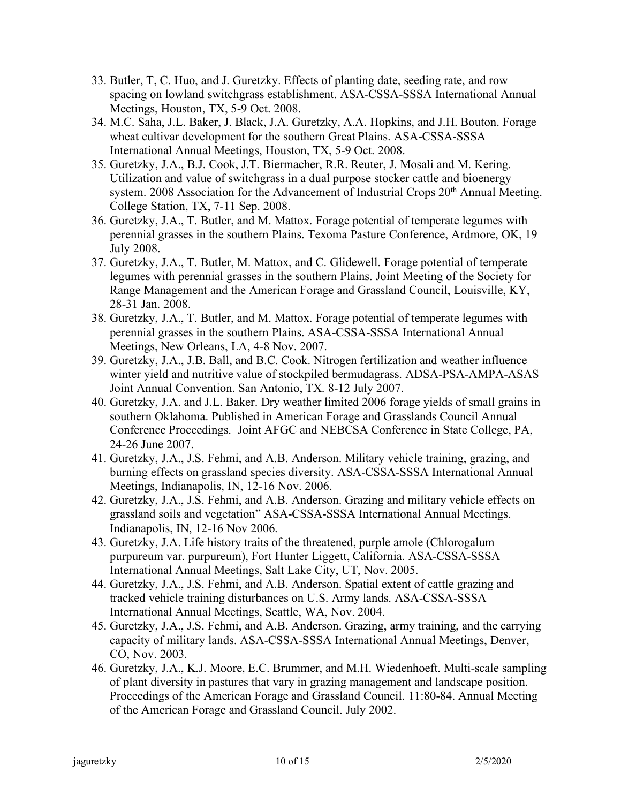- 33. Butler, T, C. Huo, and J. Guretzky. Effects of planting date, seeding rate, and row spacing on lowland switchgrass establishment. ASA-CSSA-SSSA International Annual Meetings, Houston, TX, 5-9 Oct. 2008.
- 34. M.C. Saha, J.L. Baker, J. Black, J.A. Guretzky, A.A. Hopkins, and J.H. Bouton. Forage wheat cultivar development for the southern Great Plains. ASA-CSSA-SSSA International Annual Meetings, Houston, TX, 5-9 Oct. 2008.
- 35. Guretzky, J.A., B.J. Cook, J.T. Biermacher, R.R. Reuter, J. Mosali and M. Kering. Utilization and value of switchgrass in a dual purpose stocker cattle and bioenergy system. 2008 Association for the Advancement of Industrial Crops 20<sup>th</sup> Annual Meeting. College Station, TX, 7-11 Sep. 2008.
- 36. Guretzky, J.A., T. Butler, and M. Mattox. Forage potential of temperate legumes with perennial grasses in the southern Plains. Texoma Pasture Conference, Ardmore, OK, 19 July 2008.
- 37. Guretzky, J.A., T. Butler, M. Mattox, and C. Glidewell. Forage potential of temperate legumes with perennial grasses in the southern Plains. Joint Meeting of the Society for Range Management and the American Forage and Grassland Council, Louisville, KY, 28-31 Jan. 2008.
- 38. Guretzky, J.A., T. Butler, and M. Mattox. Forage potential of temperate legumes with perennial grasses in the southern Plains. ASA-CSSA-SSSA International Annual Meetings, New Orleans, LA, 4-8 Nov. 2007.
- 39. Guretzky, J.A., J.B. Ball, and B.C. Cook. Nitrogen fertilization and weather influence winter yield and nutritive value of stockpiled bermudagrass. ADSA-PSA-AMPA-ASAS Joint Annual Convention. San Antonio, TX. 8-12 July 2007.
- 40. Guretzky, J.A. and J.L. Baker. Dry weather limited 2006 forage yields of small grains in southern Oklahoma. Published in American Forage and Grasslands Council Annual Conference Proceedings. Joint AFGC and NEBCSA Conference in State College, PA, 24-26 June 2007.
- 41. Guretzky, J.A., J.S. Fehmi, and A.B. Anderson. Military vehicle training, grazing, and burning effects on grassland species diversity. ASA-CSSA-SSSA International Annual Meetings, Indianapolis, IN, 12-16 Nov. 2006.
- 42. Guretzky, J.A., J.S. Fehmi, and A.B. Anderson. Grazing and military vehicle effects on grassland soils and vegetation" ASA-CSSA-SSSA International Annual Meetings. Indianapolis, IN, 12-16 Nov 2006.
- 43. Guretzky, J.A. Life history traits of the threatened, purple amole (Chlorogalum purpureum var. purpureum), Fort Hunter Liggett, California. ASA-CSSA-SSSA International Annual Meetings, Salt Lake City, UT, Nov. 2005.
- 44. Guretzky, J.A., J.S. Fehmi, and A.B. Anderson. Spatial extent of cattle grazing and tracked vehicle training disturbances on U.S. Army lands. ASA-CSSA-SSSA International Annual Meetings, Seattle, WA, Nov. 2004.
- 45. Guretzky, J.A., J.S. Fehmi, and A.B. Anderson. Grazing, army training, and the carrying capacity of military lands. ASA-CSSA-SSSA International Annual Meetings, Denver, CO, Nov. 2003.
- 46. Guretzky, J.A., K.J. Moore, E.C. Brummer, and M.H. Wiedenhoeft. Multi-scale sampling of plant diversity in pastures that vary in grazing management and landscape position. Proceedings of the American Forage and Grassland Council. 11:80-84. Annual Meeting of the American Forage and Grassland Council. July 2002.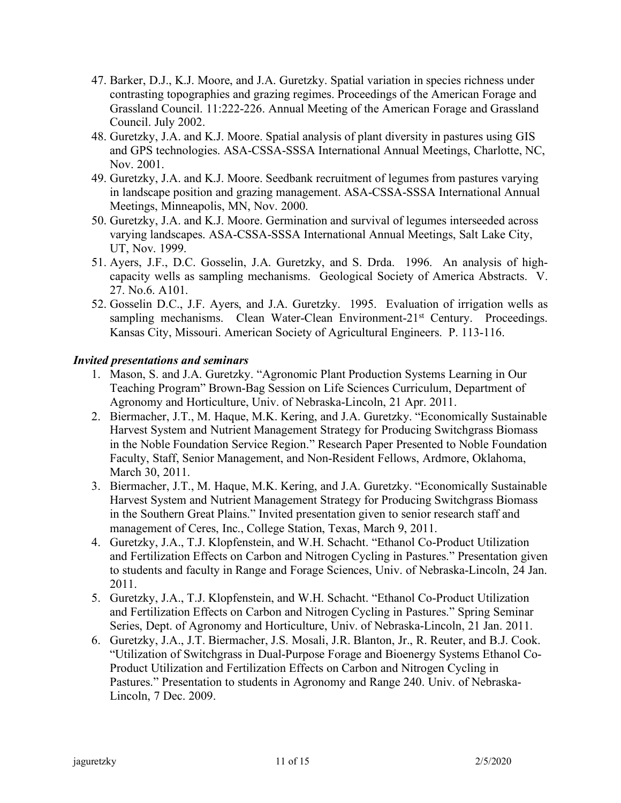- 47. Barker, D.J., K.J. Moore, and J.A. Guretzky. Spatial variation in species richness under contrasting topographies and grazing regimes. Proceedings of the American Forage and Grassland Council. 11:222-226. Annual Meeting of the American Forage and Grassland Council. July 2002.
- 48. Guretzky, J.A. and K.J. Moore. Spatial analysis of plant diversity in pastures using GIS and GPS technologies. ASA-CSSA-SSSA International Annual Meetings, Charlotte, NC, Nov. 2001.
- 49. Guretzky, J.A. and K.J. Moore. Seedbank recruitment of legumes from pastures varying in landscape position and grazing management. ASA-CSSA-SSSA International Annual Meetings, Minneapolis, MN, Nov. 2000.
- 50. Guretzky, J.A. and K.J. Moore. Germination and survival of legumes interseeded across varying landscapes. ASA-CSSA-SSSA International Annual Meetings, Salt Lake City, UT, Nov. 1999.
- 51. Ayers, J.F., D.C. Gosselin, J.A. Guretzky, and S. Drda. 1996. An analysis of highcapacity wells as sampling mechanisms. Geological Society of America Abstracts. V. 27. No.6. A101.
- 52. Gosselin D.C., J.F. Ayers, and J.A. Guretzky. 1995. Evaluation of irrigation wells as sampling mechanisms. Clean Water-Clean Environment-21<sup>st</sup> Century. Proceedings. Kansas City, Missouri. American Society of Agricultural Engineers. P. 113-116.

## *Invited presentations and seminars*

- 1. Mason, S. and J.A. Guretzky. "Agronomic Plant Production Systems Learning in Our Teaching Program" Brown-Bag Session on Life Sciences Curriculum, Department of Agronomy and Horticulture, Univ. of Nebraska-Lincoln, 21 Apr. 2011.
- 2. Biermacher, J.T., M. Haque, M.K. Kering, and J.A. Guretzky. "Economically Sustainable Harvest System and Nutrient Management Strategy for Producing Switchgrass Biomass in the Noble Foundation Service Region." Research Paper Presented to Noble Foundation Faculty, Staff, Senior Management, and Non-Resident Fellows, Ardmore, Oklahoma, March 30, 2011.
- 3. Biermacher, J.T., M. Haque, M.K. Kering, and J.A. Guretzky. "Economically Sustainable Harvest System and Nutrient Management Strategy for Producing Switchgrass Biomass in the Southern Great Plains." Invited presentation given to senior research staff and management of Ceres, Inc., College Station, Texas, March 9, 2011.
- 4. Guretzky, J.A., T.J. Klopfenstein, and W.H. Schacht. "Ethanol Co-Product Utilization and Fertilization Effects on Carbon and Nitrogen Cycling in Pastures." Presentation given to students and faculty in Range and Forage Sciences, Univ. of Nebraska-Lincoln, 24 Jan. 2011.
- 5. Guretzky, J.A., T.J. Klopfenstein, and W.H. Schacht. "Ethanol Co-Product Utilization and Fertilization Effects on Carbon and Nitrogen Cycling in Pastures." Spring Seminar Series, Dept. of Agronomy and Horticulture, Univ. of Nebraska-Lincoln, 21 Jan. 2011.
- 6. Guretzky, J.A., J.T. Biermacher, J.S. Mosali, J.R. Blanton, Jr., R. Reuter, and B.J. Cook. "Utilization of Switchgrass in Dual-Purpose Forage and Bioenergy Systems Ethanol Co-Product Utilization and Fertilization Effects on Carbon and Nitrogen Cycling in Pastures." Presentation to students in Agronomy and Range 240. Univ. of Nebraska-Lincoln, 7 Dec. 2009.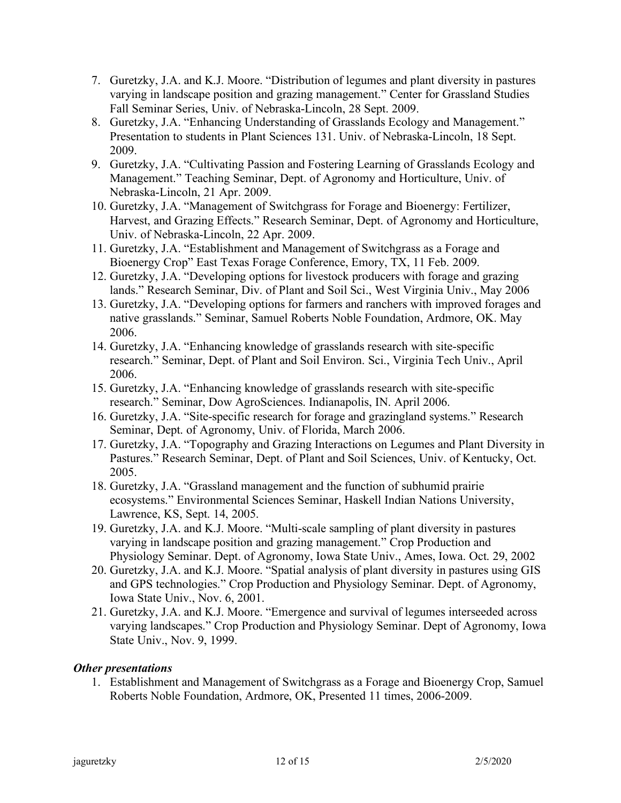- 7. Guretzky, J.A. and K.J. Moore. "Distribution of legumes and plant diversity in pastures varying in landscape position and grazing management." Center for Grassland Studies Fall Seminar Series, Univ. of Nebraska-Lincoln, 28 Sept. 2009.
- 8. Guretzky, J.A. "Enhancing Understanding of Grasslands Ecology and Management." Presentation to students in Plant Sciences 131. Univ. of Nebraska-Lincoln, 18 Sept. 2009.
- 9. Guretzky, J.A. "Cultivating Passion and Fostering Learning of Grasslands Ecology and Management." Teaching Seminar, Dept. of Agronomy and Horticulture, Univ. of Nebraska-Lincoln, 21 Apr. 2009.
- 10. Guretzky, J.A. "Management of Switchgrass for Forage and Bioenergy: Fertilizer, Harvest, and Grazing Effects." Research Seminar, Dept. of Agronomy and Horticulture, Univ. of Nebraska-Lincoln, 22 Apr. 2009.
- 11. Guretzky, J.A. "Establishment and Management of Switchgrass as a Forage and Bioenergy Crop" East Texas Forage Conference, Emory, TX, 11 Feb. 2009.
- 12. Guretzky, J.A. "Developing options for livestock producers with forage and grazing lands." Research Seminar, Div. of Plant and Soil Sci., West Virginia Univ., May 2006
- 13. Guretzky, J.A. "Developing options for farmers and ranchers with improved forages and native grasslands." Seminar, Samuel Roberts Noble Foundation, Ardmore, OK. May 2006.
- 14. Guretzky, J.A. "Enhancing knowledge of grasslands research with site-specific research." Seminar, Dept. of Plant and Soil Environ. Sci., Virginia Tech Univ., April 2006.
- 15. Guretzky, J.A. "Enhancing knowledge of grasslands research with site-specific research." Seminar, Dow AgroSciences. Indianapolis, IN. April 2006.
- 16. Guretzky, J.A. "Site-specific research for forage and grazingland systems." Research Seminar, Dept. of Agronomy, Univ. of Florida, March 2006.
- 17. Guretzky, J.A. "Topography and Grazing Interactions on Legumes and Plant Diversity in Pastures." Research Seminar, Dept. of Plant and Soil Sciences, Univ. of Kentucky, Oct. 2005.
- 18. Guretzky, J.A. "Grassland management and the function of subhumid prairie ecosystems." Environmental Sciences Seminar, Haskell Indian Nations University, Lawrence, KS, Sept. 14, 2005.
- 19. Guretzky, J.A. and K.J. Moore. "Multi-scale sampling of plant diversity in pastures varying in landscape position and grazing management." Crop Production and Physiology Seminar. Dept. of Agronomy, Iowa State Univ., Ames, Iowa. Oct. 29, 2002
- 20. Guretzky, J.A. and K.J. Moore. "Spatial analysis of plant diversity in pastures using GIS and GPS technologies." Crop Production and Physiology Seminar. Dept. of Agronomy, Iowa State Univ., Nov. 6, 2001.
- 21. Guretzky, J.A. and K.J. Moore. "Emergence and survival of legumes interseeded across varying landscapes." Crop Production and Physiology Seminar. Dept of Agronomy, Iowa State Univ., Nov. 9, 1999.

## *Other presentations*

1. Establishment and Management of Switchgrass as a Forage and Bioenergy Crop, Samuel Roberts Noble Foundation, Ardmore, OK, Presented 11 times, 2006-2009.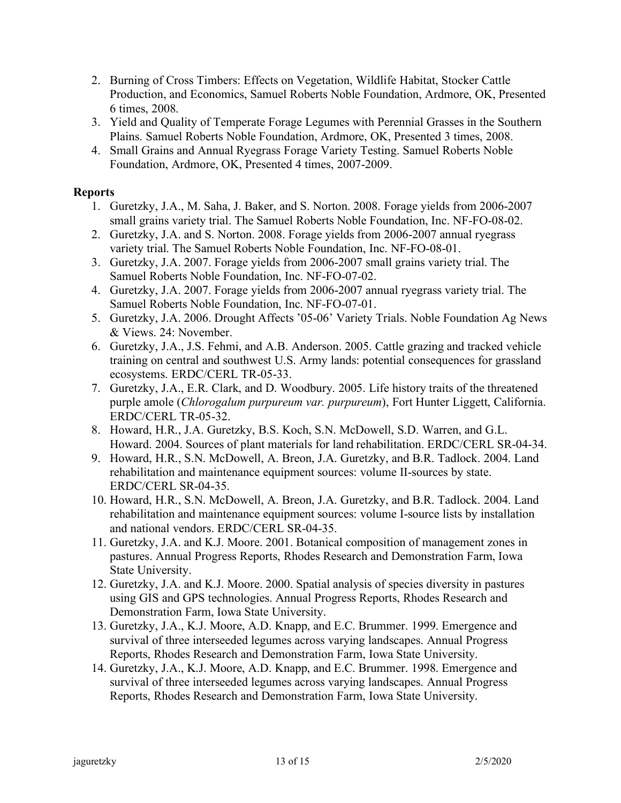- 2. Burning of Cross Timbers: Effects on Vegetation, Wildlife Habitat, Stocker Cattle Production, and Economics, Samuel Roberts Noble Foundation, Ardmore, OK, Presented 6 times, 2008.
- 3. Yield and Quality of Temperate Forage Legumes with Perennial Grasses in the Southern Plains. Samuel Roberts Noble Foundation, Ardmore, OK, Presented 3 times, 2008.
- 4. Small Grains and Annual Ryegrass Forage Variety Testing. Samuel Roberts Noble Foundation, Ardmore, OK, Presented 4 times, 2007-2009.

## **Reports**

- 1. Guretzky, J.A., M. Saha, J. Baker, and S. Norton. 2008. Forage yields from 2006-2007 small grains variety trial. The Samuel Roberts Noble Foundation, Inc. NF-FO-08-02.
- 2. Guretzky, J.A. and S. Norton. 2008. Forage yields from 2006-2007 annual ryegrass variety trial. The Samuel Roberts Noble Foundation, Inc. NF-FO-08-01.
- 3. Guretzky, J.A. 2007. Forage yields from 2006-2007 small grains variety trial. The Samuel Roberts Noble Foundation, Inc. NF-FO-07-02.
- 4. Guretzky, J.A. 2007. Forage yields from 2006-2007 annual ryegrass variety trial. The Samuel Roberts Noble Foundation, Inc. NF-FO-07-01.
- 5. Guretzky, J.A. 2006. Drought Affects '05-06' Variety Trials. Noble Foundation Ag News & Views. 24: November.
- 6. Guretzky, J.A., J.S. Fehmi, and A.B. Anderson. 2005. Cattle grazing and tracked vehicle training on central and southwest U.S. Army lands: potential consequences for grassland ecosystems. ERDC/CERL TR-05-33.
- 7. Guretzky, J.A., E.R. Clark, and D. Woodbury. 2005. Life history traits of the threatened purple amole (*Chlorogalum purpureum var. purpureum*), Fort Hunter Liggett, California. ERDC/CERL TR-05-32.
- 8. Howard, H.R., J.A. Guretzky, B.S. Koch, S.N. McDowell, S.D. Warren, and G.L. Howard. 2004. Sources of plant materials for land rehabilitation. ERDC/CERL SR-04-34.
- 9. Howard, H.R., S.N. McDowell, A. Breon, J.A. Guretzky, and B.R. Tadlock. 2004. Land rehabilitation and maintenance equipment sources: volume II-sources by state. ERDC/CERL SR-04-35.
- 10. Howard, H.R., S.N. McDowell, A. Breon, J.A. Guretzky, and B.R. Tadlock. 2004. Land rehabilitation and maintenance equipment sources: volume I-source lists by installation and national vendors. ERDC/CERL SR-04-35.
- 11. Guretzky, J.A. and K.J. Moore. 2001. Botanical composition of management zones in pastures. Annual Progress Reports, Rhodes Research and Demonstration Farm, Iowa State University.
- 12. Guretzky, J.A. and K.J. Moore. 2000. Spatial analysis of species diversity in pastures using GIS and GPS technologies. Annual Progress Reports, Rhodes Research and Demonstration Farm, Iowa State University.
- 13. Guretzky, J.A., K.J. Moore, A.D. Knapp, and E.C. Brummer. 1999. Emergence and survival of three interseeded legumes across varying landscapes. Annual Progress Reports, Rhodes Research and Demonstration Farm, Iowa State University.
- 14. Guretzky, J.A., K.J. Moore, A.D. Knapp, and E.C. Brummer. 1998. Emergence and survival of three interseeded legumes across varying landscapes. Annual Progress Reports, Rhodes Research and Demonstration Farm, Iowa State University.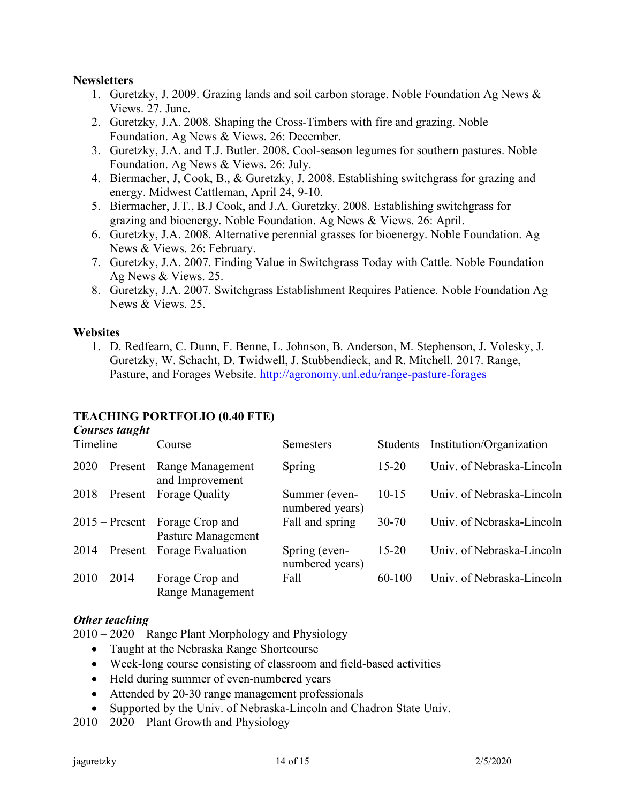#### **Newsletters**

- 1. Guretzky, J. 2009. Grazing lands and soil carbon storage. Noble Foundation Ag News & Views. 27. June.
- 2. Guretzky, J.A. 2008. Shaping the Cross-Timbers with fire and grazing. Noble Foundation. Ag News & Views. 26: December.
- 3. Guretzky, J.A. and T.J. Butler. 2008. Cool-season legumes for southern pastures. Noble Foundation. Ag News & Views. 26: July.
- 4. Biermacher, J, Cook, B., & Guretzky, J. 2008. Establishing switchgrass for grazing and energy. Midwest Cattleman, April 24, 9-10.
- 5. Biermacher, J.T., B.J Cook, and J.A. Guretzky. 2008. Establishing switchgrass for grazing and bioenergy. Noble Foundation. Ag News & Views. 26: April.
- 6. Guretzky, J.A. 2008. Alternative perennial grasses for bioenergy. Noble Foundation. Ag News & Views. 26: February.
- 7. Guretzky, J.A. 2007. Finding Value in Switchgrass Today with Cattle. Noble Foundation Ag News & Views. 25.
- 8. Guretzky, J.A. 2007. Switchgrass Establishment Requires Patience. Noble Foundation Ag News & Views. 25.

## **Websites**

1. D. Redfearn, C. Dunn, F. Benne, L. Johnson, B. Anderson, M. Stephenson, J. Volesky, J. Guretzky, W. Schacht, D. Twidwell, J. Stubbendieck, and R. Mitchell. 2017. Range, Pasture, and Forages Website. http://agronomy.unl.edu/range-pasture-forages

#### **TEACHING PORTFOLIO (0.40 FTE)** *Courses taught*

| Courses taught<br>Timeline | Course                                | <b>Semesters</b>                 | <b>Students</b> | Institution/Organization  |
|----------------------------|---------------------------------------|----------------------------------|-----------------|---------------------------|
| $2020$ – Present           | Range Management<br>and Improvement   | Spring                           | $15 - 20$       | Univ. of Nebraska-Lincoln |
| $2018 -$ Present           | Forage Quality                        | Summer (even-<br>numbered years) | $10 - 15$       | Univ. of Nebraska-Lincoln |
| $2015$ – Present           | Forage Crop and<br>Pasture Management | Fall and spring                  | $30 - 70$       | Univ. of Nebraska-Lincoln |
| $2014 -$ Present           | Forage Evaluation                     | Spring (even-<br>numbered years) | $15 - 20$       | Univ. of Nebraska-Lincoln |
| $2010 - 2014$              | Forage Crop and<br>Range Management   | Fall                             | 60-100          | Univ. of Nebraska-Lincoln |

#### *Other teaching*

2010 – 2020 Range Plant Morphology and Physiology

- Taught at the Nebraska Range Shortcourse
- Week-long course consisting of classroom and field-based activities
- Held during summer of even-numbered years
- Attended by 20-30 range management professionals
- Supported by the Univ. of Nebraska-Lincoln and Chadron State Univ.

2010 – 2020 Plant Growth and Physiology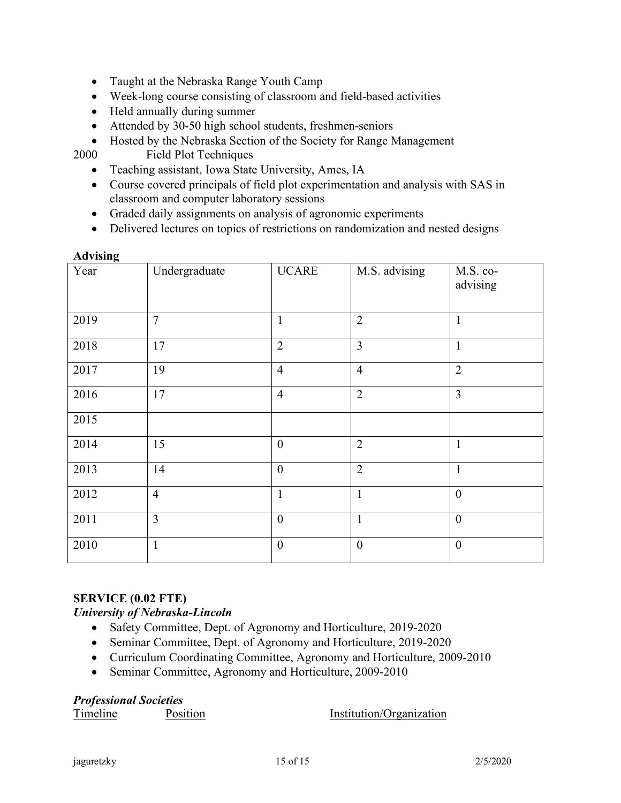- Taught at the Nebraska Range Youth Camp
- Week-long course consisting of classroom and field-based activities
- Held annually during summer
- Attended by 30-50 high school students, freshmen-seniors
- Hosted by the Nebraska Section of the Society for Range Management

2000 Field Plot Techniques

- Teaching assistant, Iowa State University, Ames, IA
- Course covered principals of field plot experimentation and analysis with SAS in classroom and computer laboratory sessions
- Graded daily assignments on analysis of agronomic experiments
- Delivered lectures on topics of restrictions on randomization and nested designs

|  |  | <b>Advising</b> |
|--|--|-----------------|
|  |  |                 |

| $\mathbf{\sigma}$<br>Year | Undergraduate  | <b>UCARE</b>   | M.S. advising    | M.S. co-<br>advising |
|---------------------------|----------------|----------------|------------------|----------------------|
| 2019                      | $\overline{7}$ | $\mathbf{1}$   | $\overline{2}$   | $\mathbf{1}$         |
| 2018                      | 17             | $\overline{2}$ | $\overline{3}$   | $\mathbf{1}$         |
| 2017                      | 19             | $\overline{4}$ | $\overline{4}$   | $\overline{2}$       |
| 2016                      | 17             | $\overline{4}$ | $\overline{2}$   | $\overline{3}$       |
| 2015                      |                |                |                  |                      |
| 2014                      | 15             | $\theta$       | $\overline{2}$   | $\mathbf{1}$         |
| 2013                      | 14             | $\overline{0}$ | $\overline{2}$   | $\mathbf{1}$         |
| 2012                      | $\overline{4}$ | $\mathbf{1}$   | $\mathbf{1}$     | $\boldsymbol{0}$     |
| 2011                      | $\overline{3}$ | $\mathbf{0}$   | $\mathbf{1}$     | $\boldsymbol{0}$     |
| 2010                      | $\mathbf{1}$   | $\mathbf{0}$   | $\boldsymbol{0}$ | $\boldsymbol{0}$     |

#### **SERVICE (0.02 FTE)**

## *University of Nebraska-Lincoln*

- Safety Committee, Dept. of Agronomy and Horticulture, 2019-2020
- Seminar Committee, Dept. of Agronomy and Horticulture, 2019-2020
- Curriculum Coordinating Committee, Agronomy and Horticulture, 2009-2010
- Seminar Committee, Agronomy and Horticulture, 2009-2010

#### *Professional Societies*

Timeline Position **Position** Institution/Organization